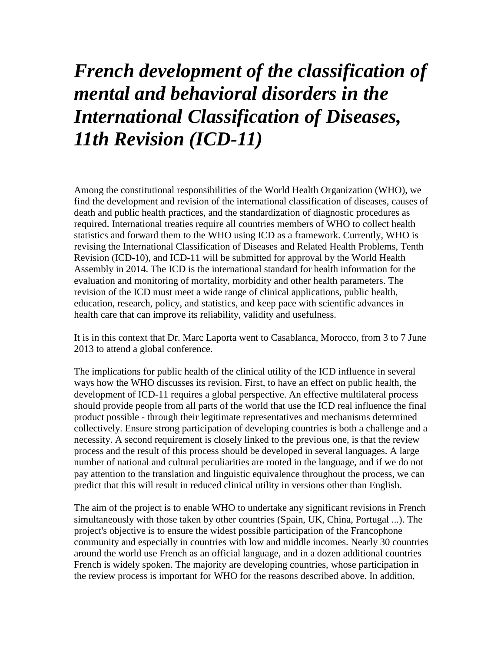## *French development of the classification of mental and behavioral disorders in the International Classification of Diseases, 11th Revision (ICD-11)*

Among the constitutional responsibilities of the World Health Organization (WHO), we find the development and revision of the international classification of diseases, causes of death and public health practices, and the standardization of diagnostic procedures as required. International treaties require all countries members of WHO to collect health statistics and forward them to the WHO using ICD as a framework. Currently, WHO is revising the International Classification of Diseases and Related Health Problems, Tenth Revision (ICD-10), and ICD-11 will be submitted for approval by the World Health Assembly in 2014. The ICD is the international standard for health information for the evaluation and monitoring of mortality, morbidity and other health parameters. The revision of the ICD must meet a wide range of clinical applications, public health, education, research, policy, and statistics, and keep pace with scientific advances in health care that can improve its reliability, validity and usefulness.

It is in this context that Dr. Marc Laporta went to Casablanca, Morocco, from 3 to 7 June 2013 to attend a global conference.

The implications for public health of the clinical utility of the ICD influence in several ways how the WHO discusses its revision. First, to have an effect on public health, the development of ICD-11 requires a global perspective. An effective multilateral process should provide people from all parts of the world that use the ICD real influence the final product possible - through their legitimate representatives and mechanisms determined collectively. Ensure strong participation of developing countries is both a challenge and a necessity. A second requirement is closely linked to the previous one, is that the review process and the result of this process should be developed in several languages. A large number of national and cultural peculiarities are rooted in the language, and if we do not pay attention to the translation and linguistic equivalence throughout the process, we can predict that this will result in reduced clinical utility in versions other than English.

The aim of the project is to enable WHO to undertake any significant revisions in French simultaneously with those taken by other countries (Spain, UK, China, Portugal ...). The project's objective is to ensure the widest possible participation of the Francophone community and especially in countries with low and middle incomes. Nearly 30 countries around the world use French as an official language, and in a dozen additional countries French is widely spoken. The majority are developing countries, whose participation in the review process is important for WHO for the reasons described above. In addition,